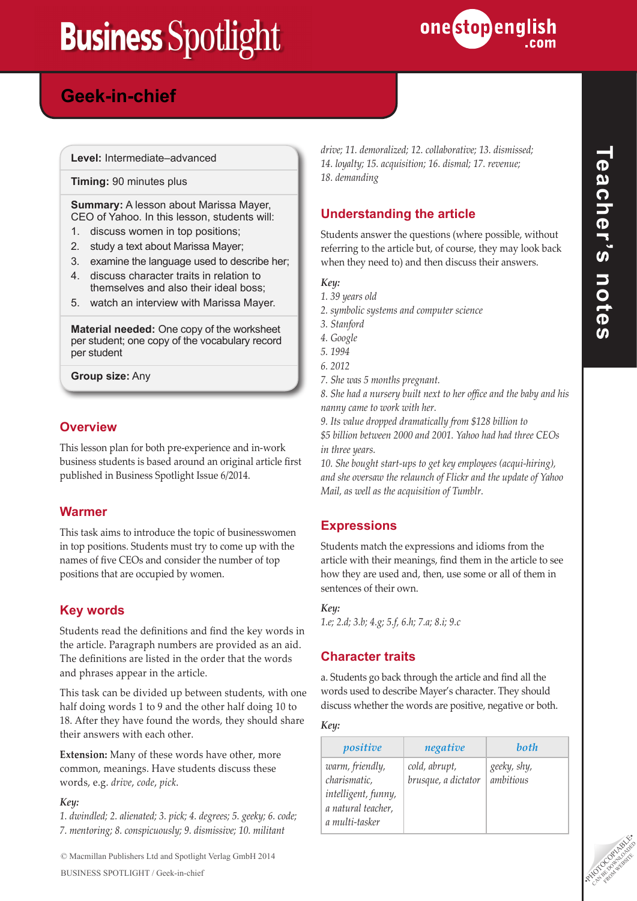

## **Powers in the East Geek-in-chief**

**Level:** Intermediate–advanced

**Timing:** 90 minutes plus

#### **Summary:** A lesson about Marissa Mayer, CEO of Yahoo. In this lesson, students will:

- 1. discuss women in top positions;
- 2. study a text about Marissa Mayer;
- 3. examine the language used to describe her;
- 4. discuss character traits in relation to themselves and also their ideal boss;
- 5. watch an interview with Marissa Mayer.

**Material needed:** One copy of the worksheet per student; one copy of the vocabulary record per student

**Group size:** Any

#### **Overview**

This lesson plan for both pre-experience and in-work business students is based around an original article first published in Business Spotlight Issue 6/2014.

#### **Warmer**

This task aims to introduce the topic of businesswomen in top positions. Students must try to come up with the names of five CEOs and consider the number of top positions that are occupied by women.

#### **Key words**

Students read the definitions and find the key words in the article. Paragraph numbers are provided as an aid. The definitions are listed in the order that the words and phrases appear in the article.

This task can be divided up between students, with one half doing words 1 to 9 and the other half doing 10 to 18. After they have found the words, they should share their answers with each other.

**Extension:** Many of these words have other, more common, meanings. Have students discuss these words, e.g. *drive*, *code*, *pick*.

#### *Key:*

*1. dwindled; 2. alienated; 3. pick; 4. degrees; 5. geeky; 6. code; 7. mentoring; 8. conspicuously; 9. dismissive; 10. militant* 

*drive; 11. demoralized; 12. collaborative; 13. dismissed; 14. loyalty; 15. acquisition; 16. dismal; 17. revenue; 18. demanding*

#### **Understanding the article**

Students answer the questions (where possible, without referring to the article but, of course, they may look back when they need to) and then discuss their answers.

*Key:*

- *1. 39 years old*
- *2. symbolic systems and computer science*
- *3. Stanford*
- *4. Google*
- *5. 1994*
- *6. 2012*
- *7. She was 5 months pregnant.*

*8. She had a nursery built next to her office and the baby and his nanny came to work with her.*

*9. Its value dropped dramatically from \$128 billion to \$5 billion between 2000 and 2001. Yahoo had had three CEOs in three years.*

*10. She bought start-ups to get key employees (acqui-hiring), and she oversaw the relaunch of Flickr and the update of Yahoo Mail, as well as the acquisition of Tumblr.* 

#### **Expressions**

Students match the expressions and idioms from the article with their meanings, find them in the article to see how they are used and, then, use some or all of them in sentences of their own.

#### *Key:*

*1.e; 2.d; 3.b; 4.g; 5.f, 6.h; 7.a; 8.i; 9.c*

#### **Character traits**

a. Students go back through the article and find all the words used to describe Mayer's character. They should discuss whether the words are positive, negative or both.

#### *Key:*

| positive                                                                                       | negative                             | both                     |
|------------------------------------------------------------------------------------------------|--------------------------------------|--------------------------|
| warm, friendly,<br>charismatic,<br>intelligent, funny,<br>a natural teacher,<br>a multi-tasker | cold, abrupt,<br>brusque, a dictator | geeky, shy,<br>ambitious |



CAN BE DOWNLOAD FROM WEBSITE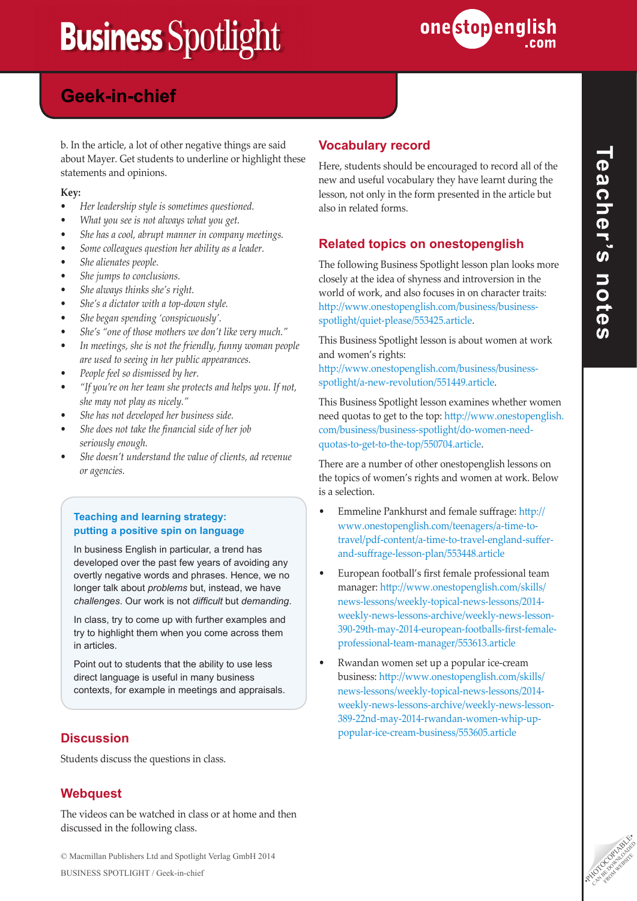

## **Powers in the East Geek-in-chief**

b. In the article, a lot of other negative things are said about Mayer. Get students to underline or highlight these statements and opinions.

#### **Key:**

- *• Her leadership style is sometimes questioned.*
- *• What you see is not always what you get.*
- *• She has a cool, abrupt manner in company meetings.*
- *• Some colleagues question her ability as a leader.*
- *• She alienates people.*
- *• She jumps to conclusions.*
- *• She always thinks she's right.*
- *• She's a dictator with a top-down style.*
- *• She began spending 'conspicuously'.*
- *• She's "one of those mothers we don't like very much."*
- *• In meetings, she is not the friendly, funny woman people are used to seeing in her public appearances.*
- *• People feel so dismissed by her.*
- *• "If you're on her team she protects and helps you. If not, she may not play as nicely."*
- *• She has not developed her business side.*
- *• She does not take the financial side of her job seriously enough.*
- *• She doesn't understand the value of clients, ad revenue or agencies.*

#### **Teaching and learning strategy: putting a positive spin on language**

In business English in particular, a trend has developed over the past few years of avoiding any overtly negative words and phrases. Hence, we no longer talk about *problems* but, instead, we have *challenges*. Our work is not *difficult* but *demanding*.

In class, try to come up with further examples and try to highlight them when you come across them in articles.

Point out to students that the ability to use less direct language is useful in many business contexts, for example in meetings and appraisals.

#### **Discussion**

Students discuss the questions in class.

#### **Webquest**

The videos can be watched in class or at home and then discussed in the following class.

#### **Vocabulary record**

Here, students should be encouraged to record all of the new and useful vocabulary they have learnt during the lesson, not only in the form presented in the article but also in related forms.

#### **Related topics on onestopenglish**

The following Business Spotlight lesson plan looks more closely at the idea of shyness and introversion in the world of work, and also focuses in on character traits: [http://www.onestopenglish.com/business/business](http://www.onestopenglish.com/business/business-spotlight/quiet-please/553425.article)[spotlight/quiet-please/553425.article](http://www.onestopenglish.com/business/business-spotlight/quiet-please/553425.article).

This Business Spotlight lesson is about women at work and women's rights:

[http://www.onestopenglish.com/business/business](http://www.onestopenglish.com/business/business-spotlight/a-new-revolution/551449.article)[spotlight/a-new-revolution/551449.article](http://www.onestopenglish.com/business/business-spotlight/a-new-revolution/551449.article).

This Business Spotlight lesson examines whether women need quotas to get to the top: [http://www.onestopenglish.](http://www.onestopenglish.com/business/business-spotlight/do-women-need-quotas-to-get-to-the-top/550704.article) [com/business/business-spotlight/do-women-need](http://www.onestopenglish.com/business/business-spotlight/do-women-need-quotas-to-get-to-the-top/550704.article)[quotas-to-get-to-the-top/550704.article.](http://www.onestopenglish.com/business/business-spotlight/do-women-need-quotas-to-get-to-the-top/550704.article)

There are a number of other onestopenglish lessons on the topics of women's rights and women at work. Below is a selection.

- Emmeline Pankhurst and female suffrage: [http://](http://www.onestopenglish.com/teenagers/a-time-to-travel/pdf-content/a-time-to-travel-england-suffer-and-suffrage-lesson-plan/553448.article) [www.onestopenglish.com/teenagers/a-time-to](http://www.onestopenglish.com/teenagers/a-time-to-travel/pdf-content/a-time-to-travel-england-suffer-and-suffrage-lesson-plan/553448.article)[travel/pdf-content/a-time-to-travel-england-suffer](http://www.onestopenglish.com/teenagers/a-time-to-travel/pdf-content/a-time-to-travel-england-suffer-and-suffrage-lesson-plan/553448.article)[and-suffrage-lesson-plan/553448.article](http://www.onestopenglish.com/teenagers/a-time-to-travel/pdf-content/a-time-to-travel-england-suffer-and-suffrage-lesson-plan/553448.article)
- European football's first female professional team manager: [http://www.onestopenglish.com/skills/](http://www.onestopenglish.com/skills/news-lessons/weekly-topical-news-lessons/2014-weekly-news-lessons-archive/weekly-news-lesson-390-29th-may-2014-european-footballs-first-female-professional-team-manager/553613.article) [news-lessons/weekly-topical-news-lessons/2014](http://www.onestopenglish.com/skills/news-lessons/weekly-topical-news-lessons/2014-weekly-news-lessons-archive/weekly-news-lesson-390-29th-may-2014-european-footballs-first-female-professional-team-manager/553613.article) [weekly-news-lessons-archive/weekly-news-lesson-](http://www.onestopenglish.com/skills/news-lessons/weekly-topical-news-lessons/2014-weekly-news-lessons-archive/weekly-news-lesson-390-29th-may-2014-european-footballs-first-female-professional-team-manager/553613.article)[390-29th-may-2014-european-footballs-first-female](http://www.onestopenglish.com/skills/news-lessons/weekly-topical-news-lessons/2014-weekly-news-lessons-archive/weekly-news-lesson-390-29th-may-2014-european-footballs-first-female-professional-team-manager/553613.article)[professional-team-manager/553613.article](http://www.onestopenglish.com/skills/news-lessons/weekly-topical-news-lessons/2014-weekly-news-lessons-archive/weekly-news-lesson-390-29th-may-2014-european-footballs-first-female-professional-team-manager/553613.article)
- Rwandan women set up a popular ice-cream business: [http://www.onestopenglish.com/skills/](http://www.onestopenglish.com/skills/news-lessons/weekly-topical-news-lessons/2014-weekly-news-lessons-archive/weekly-news-lesson-389-22nd-may-2014-rwandan-women-whip-up-popular-ice-cream-business/553605.article) [news-lessons/weekly-topical-news-lessons/2014](http://www.onestopenglish.com/skills/news-lessons/weekly-topical-news-lessons/2014-weekly-news-lessons-archive/weekly-news-lesson-389-22nd-may-2014-rwandan-women-whip-up-popular-ice-cream-business/553605.article) [weekly-news-lessons-archive/weekly-news-lesson-](http://www.onestopenglish.com/skills/news-lessons/weekly-topical-news-lessons/2014-weekly-news-lessons-archive/weekly-news-lesson-389-22nd-may-2014-rwandan-women-whip-up-popular-ice-cream-business/553605.article)[389-22nd-may-2014-rwandan-women-whip-up](http://www.onestopenglish.com/skills/news-lessons/weekly-topical-news-lessons/2014-weekly-news-lessons-archive/weekly-news-lesson-389-22nd-may-2014-rwandan-women-whip-up-popular-ice-cream-business/553605.article)[popular-ice-cream-business/553605.article](http://www.onestopenglish.com/skills/news-lessons/weekly-topical-news-lessons/2014-weekly-news-lessons-archive/weekly-news-lesson-389-22nd-may-2014-rwandan-women-whip-up-popular-ice-cream-business/553605.article)



© Macmillan Publishers Ltd and Spotlight Verlag GmbH 2014<br>BUSINESS SPOTLIGHT / Geek-in-chief BUSINESS SPOTLIGHT / Geek-in-chief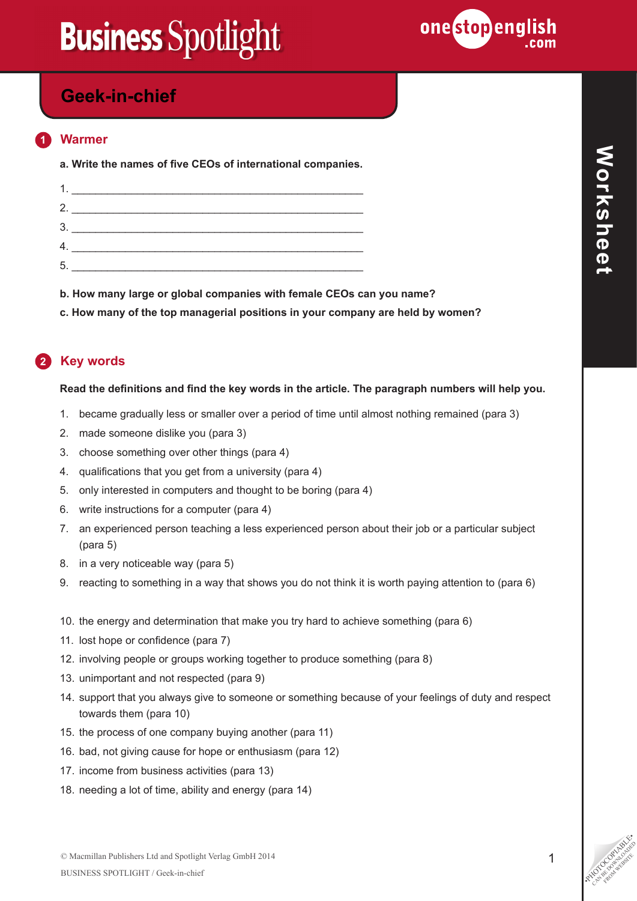

### **Powers in the East Geek-in-chief**

#### **1 Warmer**

**a. Write the names of five CEOs of international companies.**

| 3  |  |
|----|--|
|    |  |
| 5. |  |

**b. How many large or global companies with female CEOs can you name?**

**c. How many of the top managerial positions in your company are held by women?**

### **2 Key words**

#### **Read the definitions and find the key words in the article. The paragraph numbers will help you.**

- 1. became gradually less or smaller over a period of time until almost nothing remained (para 3)
- 2. made someone dislike you (para 3)
- 3. choose something over other things (para 4)
- 4. qualifications that you get from a university (para 4)
- 5. only interested in computers and thought to be boring (para 4)
- 6. write instructions for a computer (para 4)
- 7. an experienced person teaching a less experienced person about their job or a particular subject (para 5)
- 8. in a very noticeable way (para 5)
- 9. reacting to something in a way that shows you do not think it is worth paying attention to (para 6)
- 10. the energy and determination that make you try hard to achieve something (para 6)
- 11. lost hope or confidence (para 7)
- 12. involving people or groups working together to produce something (para 8)
- 13. unimportant and not respected (para 9)
- 14. support that you always give to someone or something because of your feelings of duty and respect towards them (para 10)
- 15. the process of one company buying another (para 11)
- 16. bad, not giving cause for hope or enthusiasm (para 12)
- 17. income from business activities (para 13)
- 18. needing a lot of time, ability and energy (para 14)

CAN BE DOWNLOAD FROM WEBSITE

**Worksheet**

**Norksheet**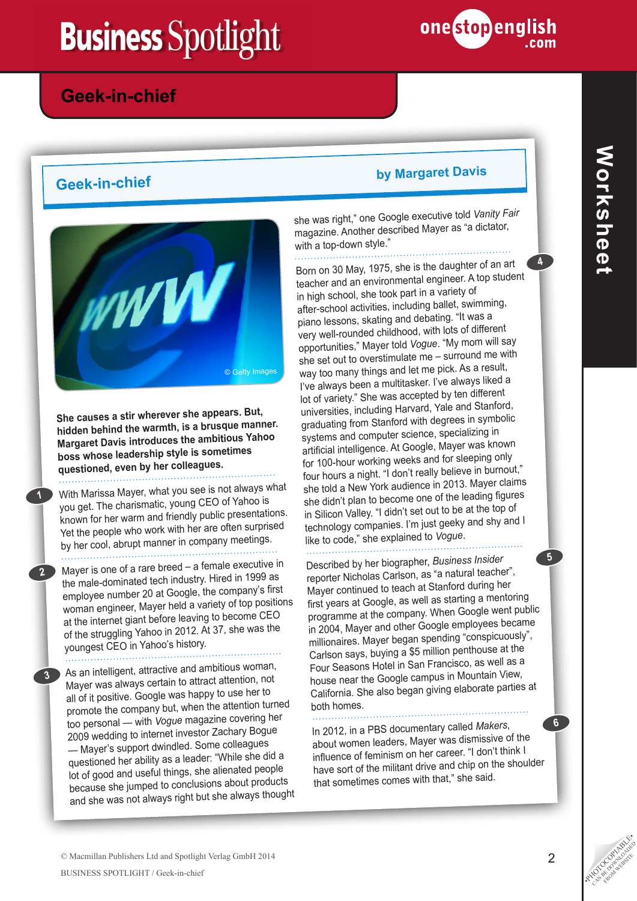

**2**

**3**

**1**



**She causes a stir wherever she appears. But, hidden behind the warmth, is a brusque manner. Margaret Davis introduces the ambitious Yahoo boss whose leadership style is sometimes questioned, even by her colleagues.**

With Marissa Mayer, what you see is not always what you get. The charismatic, young CEO of Yahoo is known for her warm and friendly public presentations. Yet the people who work with her are often surprised by her cool, abrupt manner in company meetings.

Mayer is one of a rare breed – a female executive in the male-dominated tech industry. Hired in 1999 as employee number 20 at Google, the company's first woman engineer, Mayer held a variety of top positions at the internet giant before leaving to become CEO of the struggling Yahoo in 2012. At 37, she was the youngest CEO in Yahoo's history.

As an intelligent, attractive and ambitious woman, Mayer was always certain to attract attention, not all of it positive. Google was happy to use her to promote the company but, when the attention turned too personal — with *Vogue* magazine covering her 2009 wedding to internet investor Zachary Bogue — Mayer's support dwindled. Some colleagues questioned her ability as a leader: "While she did a lot of good and useful things, she alienated people because she jumped to conclusions about products and she was not always right but she always thought

## **Geek-in-chief by Margaret Davis**

one stopenglish

she was right," one Google executive told *Vanity Fair* magazine. Another described Mayer as "a dictator, with a top-down style."

Born on 30 May, 1975, she is the daughter of an art teacher and an environmental engineer. A top student in high school, she took part in a variety of after-school activities, including ballet, swimming, piano lessons, skating and debating. "It was a very well-rounded childhood, with lots of different opportunities," Mayer told *Vogue*. "My mom will say she set out to overstimulate me – surround me with way too many things and let me pick. As a result, I've always been a multitasker. I've always liked a lot of variety." She was accepted by ten different universities, including Harvard, Yale and Stanford, graduating from Stanford with degrees in symbolic systems and computer science, specializing in artificial intelligence. At Google, Mayer was known for 100-hour working weeks and for sleeping only four hours a night. "I don't really believe in burnout," she told a New York audience in 2013. Mayer claims she didn't plan to become one of the leading figures in Silicon Valley. "I didn't set out to be at the top of technology companies. I'm just geeky and shy and I like to code," she explained to *Vogue*.

Described by her biographer, *Business Insider*  reporter Nicholas Carlson, as "a natural teacher", Mayer continued to teach at Stanford during her first years at Google, as well as starting a mentoring programme at the company. When Google went public in 2004, Mayer and other Google employees became millionaires. Mayer began spending "conspicuously", Carlson says, buying a \$5 million penthouse at the Four Seasons Hotel in San Francisco, as well as a house near the Google campus in Mountain View, California. She also began giving elaborate parties at both homes.

In 2012, in a PBS documentary called *Makers*, about women leaders, Mayer was dismissive of the influence of feminism on her career. "I don't think I have sort of the militant drive and chip on the shoulder that sometimes comes with that," she said.

**4**

**6**

**5**

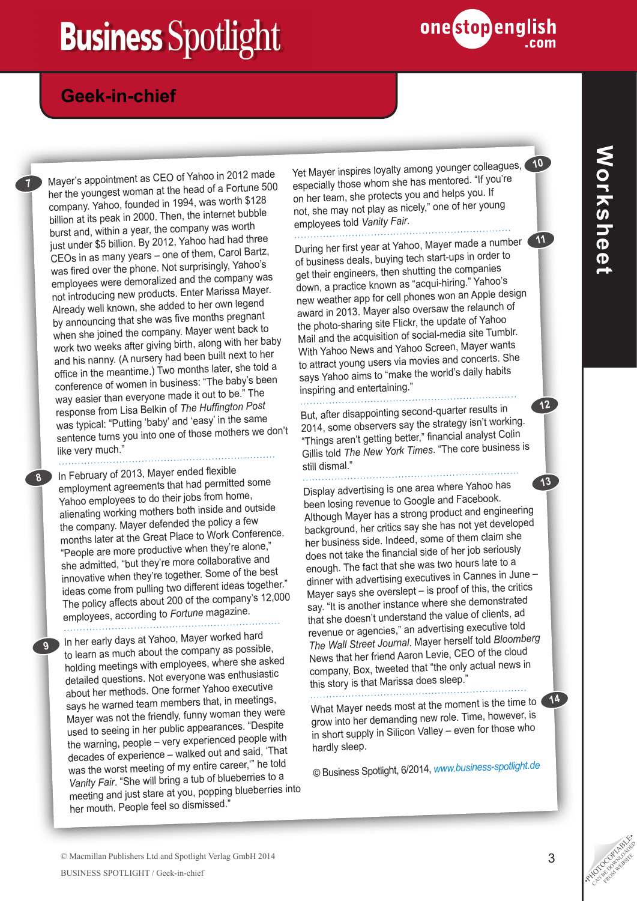

### **Powers in the East Geek-in-chief**

Mayer's appointment as CEO of Yahoo in 2012 made her the youngest woman at the head of a Fortune 500 company. Yahoo, founded in 1994, was worth \$128 billion at its peak in 2000. Then, the internet bubble burst and, within a year, the company was worth just under \$5 billion. By 2012, Yahoo had had three CEOs in as many years – one of them, Carol Bartz, was fired over the phone. Not surprisingly, Yahoo's employees were demoralized and the company was not introducing new products. Enter Marissa Mayer. Already well known, she added to her own legend by announcing that she was five months pregnan<sup>t</sup> when she joined the company. Mayer went back to work two weeks after giving birth, along with her baby and his nanny. (A nursery had been built next to her office in the meantime.) Two months later, she told a conference of women in business: "The baby's been way easier than everyone made it out to be.<sup>"</sup> The response from Lisa Belkin of *The Huffington Post* was typical: "Putting 'baby' and 'easy' in the same sentence turns you into one of those mothers we don't like very much."

In February of 2013, Mayer ended flexible employment agreements that had permitted some Yahoo employees to do their jobs from home, alienating working mothers both inside and outside the company. Mayer defended the policy a few months later at the Great Place to Work Conference. "People are more productive when they're alone," she admitted, "but they're more collaborative and innovative when they're together. Some of the best ideas come from pulling two different ideas together." The policy affects about 200 of the company's 12,000 employees, according to *Fortune* magazine.

**9**

**8**

. . . . . . . . . . . . . . .

**7**

In her early days at Yahoo, Mayer worked hard to learn as much about the company as possible, holding meetings with employees, where she asked detailed questions. Not everyone was enthusiastic about her methods. One former Yahoo executive says he warned team members that, in meetings, Mayer was not the friendly, funny woman they were used to seeing in her public appearances. "Despite the warning, people – very experienced people with decades of experience – walked out and said, 'That was the worst meeting of my entire career,'" he told *Vanity Fair*. "She will bring a tub of blueberries to a meeting and just stare at you, popping blueberries into her mouth. People feel so dismissed."

Yet Mayer inspires loyalty among younger colleagues, especially those whom she has mentored. "If you're on her team, she protects you and helps you. If not, she may not play as nicely," one of her young employees told *Vanity Fair*.

During her first year at Yahoo, Mayer made a number **11**

of business deals, buying tech start-ups in order to get their engineers, then shutting the companies down, a practice known as "acqui-hiring." Yahoo's new weather app for cell phones won an Apple design award in 2013. Mayer also oversaw the relaunch of the photo-sharing site Flickr, the update of Yahoo Mail and the acquisition of social-media site Tumblr. With Yahoo News and Yahoo Screen, Mayer wants to attract young users via movies and concerts. She says Yahoo aims to "make the world's daily habits inspiring and entertaining."

But, after disappointing second-quarter results in 2014, some observers say the strategy isn't working. "Things aren't getting better," financial analyst Colin Gillis told *The New York Times*. "The core business is still dismal."

Display advertising is one area where Yahoo has been losing revenue to Google and Facebook. Although Mayer has a strong product and engineering background, her critics say she has not yet developed her business side. Indeed, some of them claim she does not take the financial side of her job seriously enough. The fact that she was two hours late to a dinner with advertising executives in Cannes in June – Mayer says she overslept – is proof of this, the critics say. "It is another instance where she demonstrated that she doesn't understand the value of clients, ad revenue or agencies," an advertising executive told *The Wall Street Journal*. Mayer herself told *Bloomberg*  News that her friend Aaron Levie, CEO of the cloud company, Box, tweeted that "the only actual news in this story is that Marissa does sleep." **13**

What Mayer needs most at the moment is the time to grow into her demanding new role. Time, however, is in short supply in Silicon Valley – even for those who hardly sleep.

© Business Spotlight, 6/2014, *[www.business-spotlight.de](http://www.business-spotlight.de)*

**12**

**10**

C Macmillan Publishers Ltd and Spotlight Verlag GmbH 2014<br>BUSINESS SPOTLIGHT / Geek-in-chief

**14**

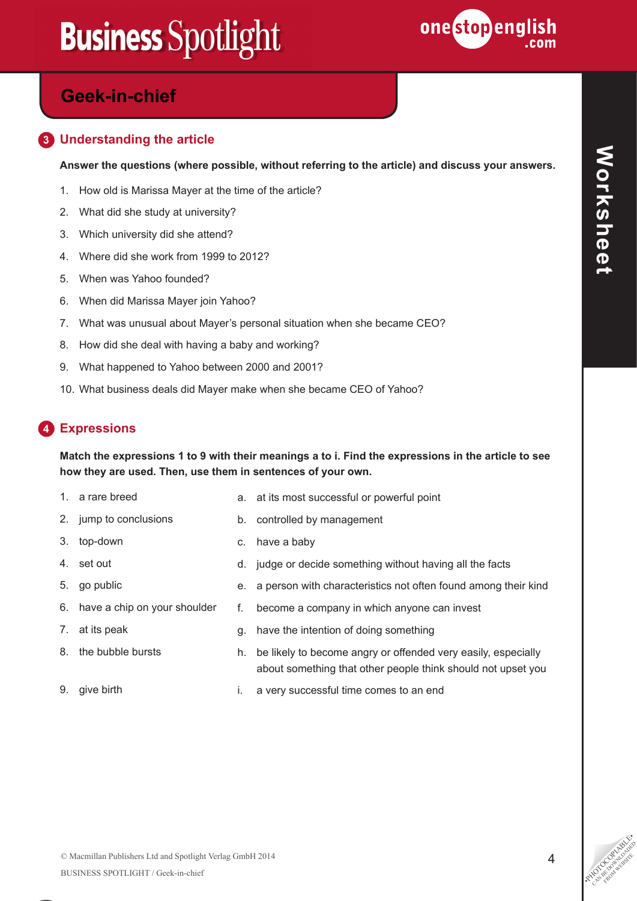

## **Powers in the East Geek-in-chief**

#### **3 Understanding the article**

**Answer the questions (where possible, without referring to the article) and discuss your answers.**

- 1. How old is Marissa Mayer at the time of the article?
- 2. What did she study at university?
- 3. Which university did she attend?
- 4. Where did she work from 1999 to 2012?
- 5. When was Yahoo founded?
- 6. When did Marissa Mayer join Yahoo?
- 7. What was unusual about Mayer's personal situation when she became CEO?
- 8. How did she deal with having a baby and working?
- 9. What happened to Yahoo between 2000 and 2001?
- 10. What business deals did Mayer make when she became CEO of Yahoo?

### **4 Expressions**

#### **Match the expressions 1 to 9 with their meanings a to i. Find the expressions in the article to see how they are used. Then, use them in sentences of your own.**

1. a rare breed

3. top-down

4. set out

- a. at its most successful or powerful point b. controlled by management
- 2. jump to conclusions
- c. have a baby
	- d. judge or decide something without having all the facts
	- e. a person with characteristics not often found among their kind
	- f. become a company in which anyone can invest

7. at its peak

5. go public

8. the bubble bursts

6. have a chip on your shoulder

- g. have the intention of doing something
- h. be likely to become angry or offended very easily, especially about something that other people think should not upset you
- 9. give birth i. a very successful time comes to an end

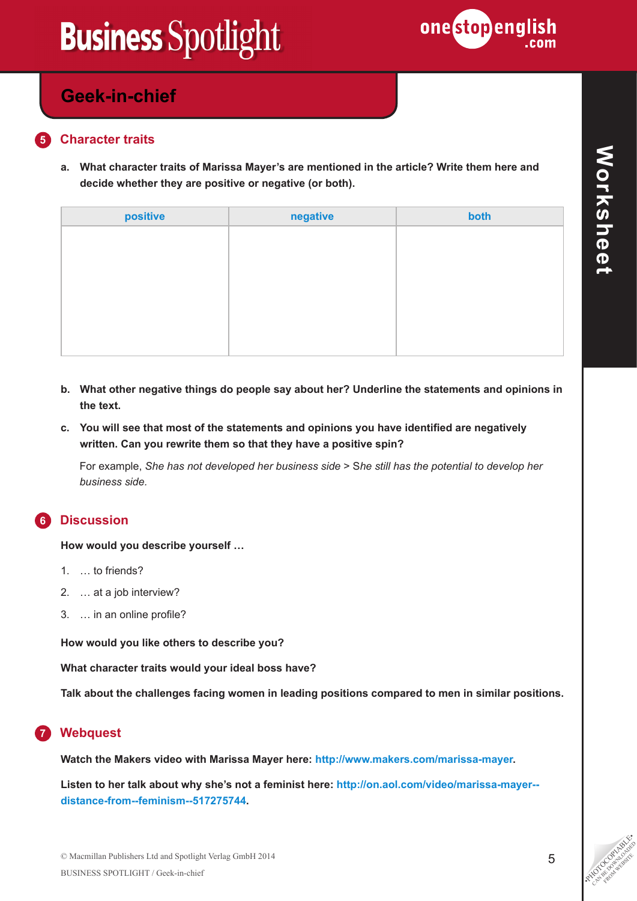

### **Powers in the East Geek-in-chief**

#### **5 Character traits**

**a. What character traits of Marissa Mayer's are mentioned in the article? Write them here and decide whether they are positive or negative (or both).**

| positive | negative | both |
|----------|----------|------|
|          |          |      |
|          |          |      |
|          |          |      |
|          |          |      |
|          |          |      |
|          |          |      |

- **b. What other negative things do people say about her? Underline the statements and opinions in the text.**
- **c. You will see that most of the statements and opinions you have identified are negatively written. Can you rewrite them so that they have a positive spin?**

For example, *She has not developed her business side* > S*he still has the potential to develop her business side.*

#### **6 Discussion**

**How would you describe yourself …**

- 1. … to friends?
- 2. … at a job interview?
- 3. … in an online profile?

**How would you like others to describe you?**

**What character traits would your ideal boss have?**

**Talk about the challenges facing women in leading positions compared to men in similar positions.**

### **7 Webquest**

**Watch the Makers video with Marissa Mayer here: <http://www.makers.com/marissa-mayer>.**

**Listen to her talk about why she's not a feminist here: [http://on.aol.com/video/marissa-mayer-](http://on.aol.com/video/marissa-mayer--distance-from--feminism--517275744) [distance-from--feminism--517275744](http://on.aol.com/video/marissa-mayer--distance-from--feminism--517275744).**

© Macmillan Publishers Ltd and Spotlight Verlag GmbH 2014<br>BUSINESS SPOTLIGHT / Geek-in-chief BUSINESS SPOTLIGHT / Geek-in-chief